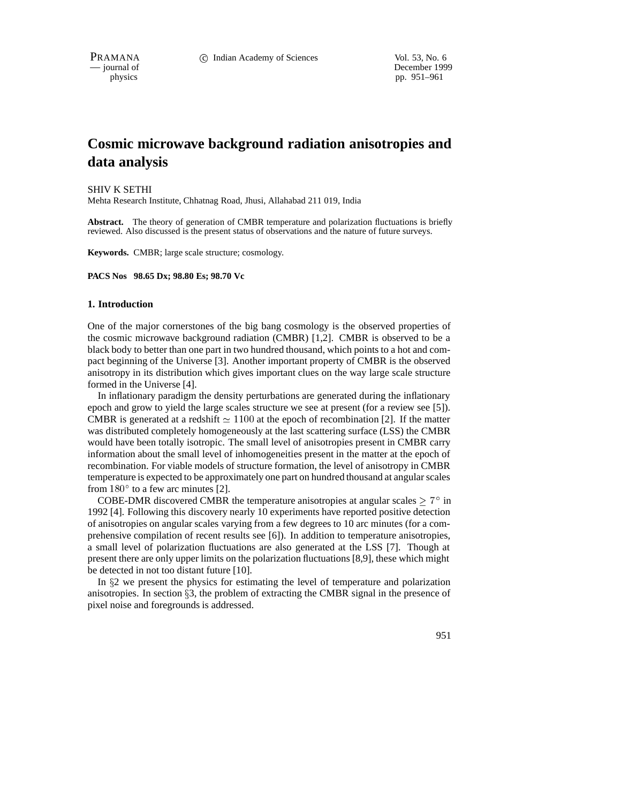PRAMANA 
<sup>C</sup> Indian Academy of Sciences 
<sup>Vol. 53, No. 6<br>
— journal of **C** Indian Academy of Sciences
<sup>Vol. 53, No. 6</sup></sup>

December 1999 physics pp. 951–961

# **Cosmic microwave background radiation anisotropies and data analysis**

SHIV K SETHI Mehta Research Institute, Chhatnag Road, Jhusi, Allahabad 211 019, India

**Abstract.** The theory of generation of CMBR temperature and polarization fluctuations is briefly reviewed. Also discussed is the present status of observations and the nature of future surveys.

**Keywords.** CMBR; large scale structure; cosmology.

**PACS Nos 98.65 Dx; 98.80 Es; 98.70 Vc**

## **1. Introduction**

One of the major cornerstones of the big bang cosmology is the observed properties of the cosmic microwave background radiation (CMBR) [1,2]. CMBR is observed to be a black body to better than one part in two hundred thousand, which points to a hot and compact beginning of the Universe [3]. Another important property of CMBR is the observed anisotropy in its distribution which gives important clues on the way large scale structure formed in the Universe [4].

In inflationary paradigm the density perturbations are generated during the inflationary epoch and grow to yield the large scales structure we see at present (for a review see [5]). CMBR is generated at a redshift  $\simeq 1100$  at the epoch of recombination [2]. If the matter was distributed completely homogeneously at the last scattering surface (LSS) the CMBR would have been totally isotropic. The small level of anisotropies present in CMBR carry information about the small level of inhomogeneities present in the matter at the epoch of recombination. For viable models of structure formation, the level of anisotropy in CMBR temperature is expected to be approximately one part on hundred thousand at angular scales from  $180^\circ$  to a few arc minutes [2].

COBE-DMR discovered CMBR the temperature anisotropies at angular scales  $\geq 7^{\circ}$  in 1992 [4]. Following this discovery nearly 10 experiments have reported positive detection of anisotropies on angular scales varying from a few degrees to 10 arc minutes (for a comprehensive compilation of recent results see [6]). In addition to temperature anisotropies, a small level of polarization fluctuations are also generated at the LSS [7]. Though at present there are only upper limits on the polarization fluctuations [8,9], these which might be detected in not too distant future [10].

In  $\S$ 2 we present the physics for estimating the level of temperature and polarization anisotropies. In section  $\S$ 3, the problem of extracting the CMBR signal in the presence of pixel noise and foregrounds is addressed.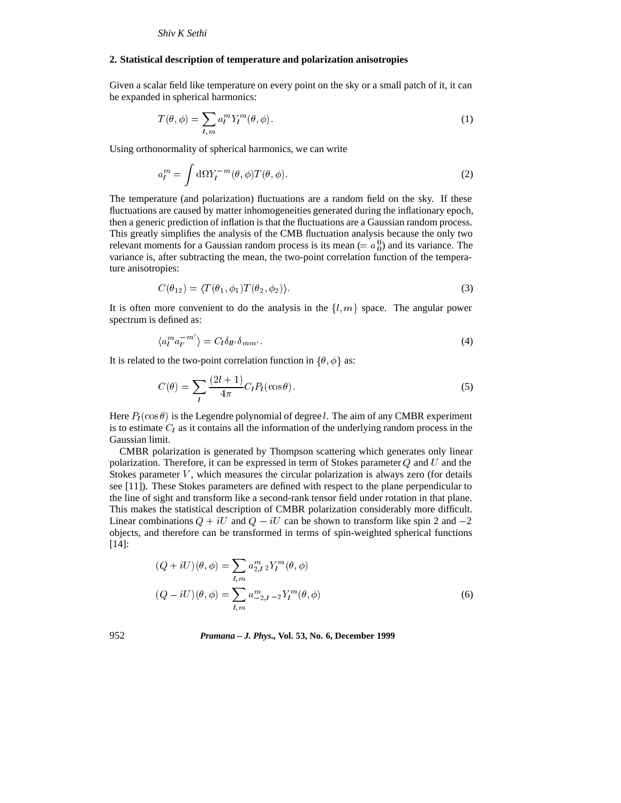## **2. Statistical description of temperature and polarization anisotropies**

Given a scalar field like temperature on every point on the sky or a small patch of it, it can be expanded in spherical harmonics:

$$
T(\theta,\phi) = \sum_{l,m} a_l^m Y_l^m(\theta,\phi).
$$
 (1)

Using orthonormality of spherical harmonics, we can write

$$
a_l^m = \int d\Omega Y_l^{-m}(\theta, \phi) T(\theta, \phi).
$$
 (2)

The temperature (and polarization) fluctuations are a random field on the sky. If these fluctuations are caused by matter inhomogeneities generated during the inflationary epoch, then a generic prediction of inflation is that the fluctuations are a Gaussian random process. This greatly simplifies the analysis of the CMB fluctuation analysis because the only two relevant moments for a Gaussian random process is its mean (=  $a_0^0$ ) and its variance. The variance is, after subtracting the mean, the two-point correlation function of the temperature anisotropies:

$$
C(\theta_{12}) = \langle T(\theta_1, \phi_1) T(\theta_2, \phi_2) \rangle.
$$
\n(3)

It is often more convenient to do the analysis in the  $\{l,m\}$  space. The angular power spectrum is defined as:

$$
\langle a_l^m a_{l'}^{-m'} \rangle = C_l \delta_{ll'} \delta_{mm'}.\tag{4}
$$

It is related to the two-point correlation function in  $\{\theta, \phi\}$  as:

$$
C(\theta) = \sum_{l} \frac{(2l+1)}{4\pi} C_l P_l(\cos \theta). \tag{5}
$$

Here  $P_l(\cos \theta)$  is the Legendre polynomial of degree l. The aim of any CMBR experiment is to estimate  $C_l$  as it contains all the information of the underlying random process in the Gaussian limit.

CMBR polarization is generated by Thompson scattering which generates only linear polarization. Therefore, it can be expressed in term of Stokes parameter  $Q$  and  $U$  and the Stokes parameter  $V$ , which measures the circular polarization is always zero (for details see [11]). These Stokes parameters are defined with respect to the plane perpendicular to the line of sight and transform like a second-rank tensor field under rotation in that plane. This makes the statistical description of CMBR polarization considerably more difficult. Linear combinations  $Q + iU$  and  $Q - iU$  can be shown to transform like spin 2 and  $-2$ objects, and therefore can be transformed in terms of spin-weighted spherical functions [14]:

$$
(Q + iU)(\theta, \phi) = \sum_{l,m} a_{2,l}^m {}_2Y_l^m(\theta, \phi)
$$
  

$$
(Q - iU)(\theta, \phi) = \sum_{l,m} a_{-2,l}^m {}_{-2}Y_l^m(\theta, \phi)
$$
 (6)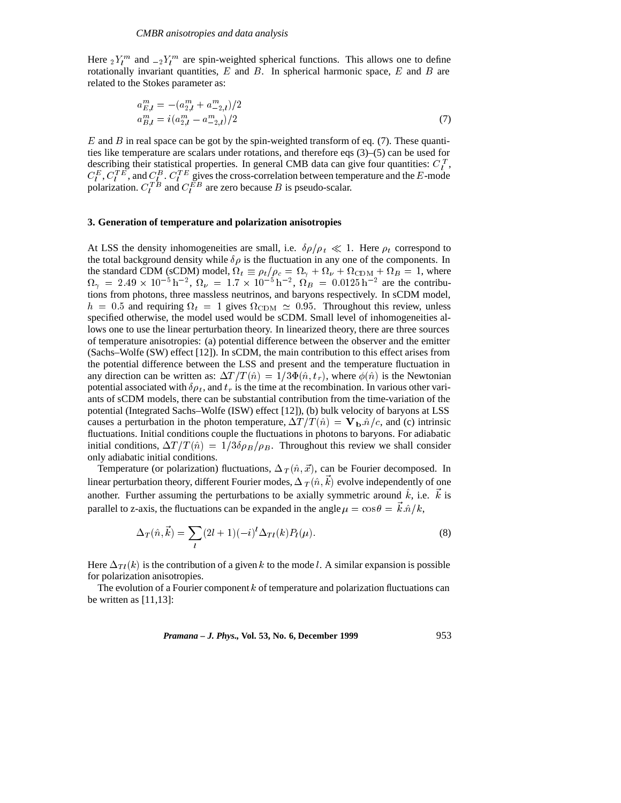Here  ${}_2Y_l^m$  and  ${}_{-2}Y_l^m$  are spin-weighted spherical functions. This allows one to define rotationally invariant quantities,  $E$  and  $B$ . In spherical harmonic space,  $E$  and  $B$  are related to the Stokes parameter as:

$$
a_{E,l}^{m} = -(a_{2,l}^{m} + a_{2,l}^{m})/2
$$
  
\n
$$
a_{B,l}^{m} = i(a_{2,l}^{m} - a_{2,l}^{m})/2
$$
\n(7)

 $E$  and  $B$  in real space can be got by the spin-weighted transform of eq. (7). These quantities like temperature are scalars under rotations, and therefore eqs (3)–(5) can be used for describing their statistical properties. In general CMB data can give four quantities:  $C_l^T$ ,  $C_l^E$ ,  $C_l^T E$ , and  $C_l^B$ .  $C_l^T E$  gives the cross-correlation between temperature and the E-mode polarization.  $C_l^{TB}$  and  $C_l^{EB}$  are zero because B is pseudo-scalar.

# **3. Generation of temperature and polarization anisotropies**

At LSS the density inhomogeneities are small, i.e.  $\delta \rho / \rho_t \ll 1$ . Here  $\rho_t$  correspond to the total background density while  $\delta \rho$  is the fluctuation in any one of the components. In the standard CDM (sCDM) model,  $\Omega_t \equiv \rho_t/\rho_c = \Omega_\gamma + \Omega_\nu + \Omega_{\rm CDM} + \Omega_B = 1$ , where  $\Omega_{\gamma} = 2.49 \times 10^{-5} \,\text{h}^{-2}$ ,  $\Omega_{\nu} = 1.7 \times 10^{-5} \,\text{h}^{-2}$ ,  $\Omega_{B} = 0.0125 \,\text{h}^{-2}$  are the contributions from photons, three massless neutrinos, and baryons respectively. In sCDM model,  $h = 0.5$  and requiring  $\Omega_t = 1$  gives  $\Omega_{\text{CDM}} \simeq 0.95$ . Throughout this review, unless specified otherwise, the model used would be sCDM. Small level of inhomogeneities allows one to use the linear perturbation theory. In linearized theory, there are three sources of temperature anisotropies: (a) potential difference between the observer and the emitter (Sachs–Wolfe (SW) effect [12]). In sCDM, the main contribution to this effect arises from the potential difference between the LSS and present and the temperature fluctuation in any direction can be written as:  $\Delta T/T(\hat{n})=1/3\Phi(\hat{n}, t_r)$ , where  $\phi(\hat{n})$  is the Newtonian potential associated with  $\delta \rho_t$ , and  $t_r$  is the time at the recombination. In various other variants of sCDM models, there can be substantial contribution from the time-variation of the potential (Integrated Sachs–Wolfe (ISW) effect [12]), (b) bulk velocity of baryons at LSS causes a perturbation in the photon temperature,  $\Delta T/T(\hat{n}) = \mathbf{V_b}.\hat{n}/c$ , and (c) intrinsic fluctuations. Initial conditions couple the fluctuations in photons to baryons. For adiabatic initial conditions,  $\Delta T / T(\hat{n}) = 1/3\delta\rho_B/\rho_B$ . Throughout this review we shall consider only adiabatic initial conditions.

Temperature (or polarization) fluctuations,  $\Delta_T (\hat{n}, \vec{x})$ , can be Fourier decomposed. In linear perturbation theory, different Fourier modes,  $\Delta_T (\hat{n}, \vec{k})$  evolve independently of one another. Further assuming the perturbations to be axially symmetric around  $\hat{k}$ , i.e.  $\vec{k}$  is parallel to z-axis, the fluctuations can be expanded in the angle  $\mu = \cos \theta = \vec{k} \cdot \hat{n}/k$ ,

$$
\Delta_T(\hat{n}, \vec{k}) = \sum_l (2l+1)(-i)^l \Delta_{Tl}(k) P_l(\mu).
$$
\n(8)

Here  $\Delta_{Tl}(k)$  is the contribution of a given k to the mode l. A similar expansion is possible for polarization anisotropies.

The evolution of a Fourier component  $k$  of temperature and polarization fluctuations can be written as  $[11,13]$ :

*Pramana – J. Phys.,* **Vol. 53, No. 6, December 1999** 953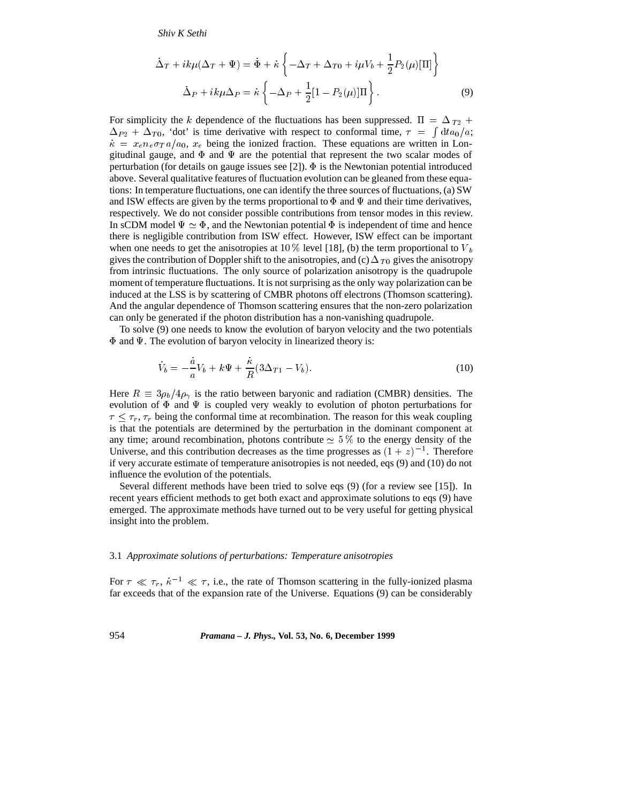*Shiv K Sethi*

$$
\dot{\Delta}_T + ik\mu(\Delta_T + \Psi) = \dot{\Phi} + \dot{\kappa} \left\{ -\Delta_T + \Delta_{T0} + i\mu V_b + \frac{1}{2} P_2(\mu)[\Pi] \right\}
$$

$$
\dot{\Delta}_P + ik\mu\Delta_P = \dot{\kappa} \left\{ -\Delta_P + \frac{1}{2} [1 - P_2(\mu)]\Pi \right\}.
$$
(9)

For simplicity the k dependence of the fluctuations has been suppressed.  $\Pi = \Delta_{T_2} +$  $\Delta_{P_2} + \Delta_{T_0}$ , 'dot' is time derivative with respect to conformal time,  $\tau = \int dt a_0/a;$  $\dot{\kappa} = x_e n_e \sigma T a/a_0$ ,  $x_e$  being the ionized fraction. These equations are written in Longitudinal gauge, and  $\Phi$  and  $\Psi$  are the potential that represent the two scalar modes of perturbation (for details on gauge issues see [2]).  $\Phi$  is the Newtonian potential introduced above. Several qualitative features of fluctuation evolution can be gleaned from these equations: In temperature fluctuations, one can identify the three sources of fluctuations, (a) SW and ISW effects are given by the terms proportional to  $\Phi$  and  $\Psi$  and their time derivatives, respectively. We do not consider possible contributions from tensor modes in this review. In sCDM model  $\Psi \simeq \Phi$ , and the Newtonian potential  $\Phi$  is independent of time and hence there is negligible contribution from ISW effect. However, ISW effect can be important when one needs to get the anisotropies at 10 % level [18], (b) the term proportional to  $V_b$ gives the contribution of Doppler shift to the anisotropies, and (c)  $\Delta_{T_0}$  gives the anisotropy from intrinsic fluctuations. The only source of polarization anisotropy is the quadrupole moment of temperature fluctuations. It is not surprising as the only way polarization can be induced at the LSS is by scattering of CMBR photons off electrons (Thomson scattering). And the angular dependence of Thomson scattering ensures that the non-zero polarization can only be generated if the photon distribution has a non-vanishing quadrupole.

To solve (9) one needs to know the evolution of baryon velocity and the two potentials  $\Phi$  and  $\Psi$ . The evolution of baryon velocity in linearized theory is:

$$
\dot{V}_b = -\frac{\dot{a}}{a}V_b + k\Psi + \frac{\dot{\kappa}}{R}(3\Delta_{T1} - V_b). \tag{10}
$$

Here  $R \equiv 3\rho_b/4\rho_\gamma$  is the ratio between baryonic and radiation (CMBR) densities. The evolution of  $\Phi$  and  $\Psi$  is coupled very weakly to evolution of photon perturbations for  $\tau < \tau_r$ ,  $\tau_r$  being the conformal time at recombination. The reason for this weak coupling is that the potentials are determined by the perturbation in the dominant component at any time; around recombination, photons contribute  $\simeq$  5 % to the energy density of the Universe, and this contribution decreases as the time progresses as  $(1 + z)^{-1}$ . Therefore if very accurate estimate of temperature anisotropies is not needed, eqs (9) and (10) do not influence the evolution of the potentials.

Several different methods have been tried to solve eqs (9) (for a review see [15]). In recent years efficient methods to get both exact and approximate solutions to eqs (9) have emerged. The approximate methods have turned out to be very useful for getting physical insight into the problem.

## 3.1 *Approximate solutions of perturbations: Temperature anisotropies*

For  $\tau \ll \tau_r$ ,  $\dot{\kappa}^{-1} \ll \tau$ , i.e., the rate of Thomson scattering in the fully-ionized plasma far exceeds that of the expansion rate of the Universe. Equations (9) can be considerably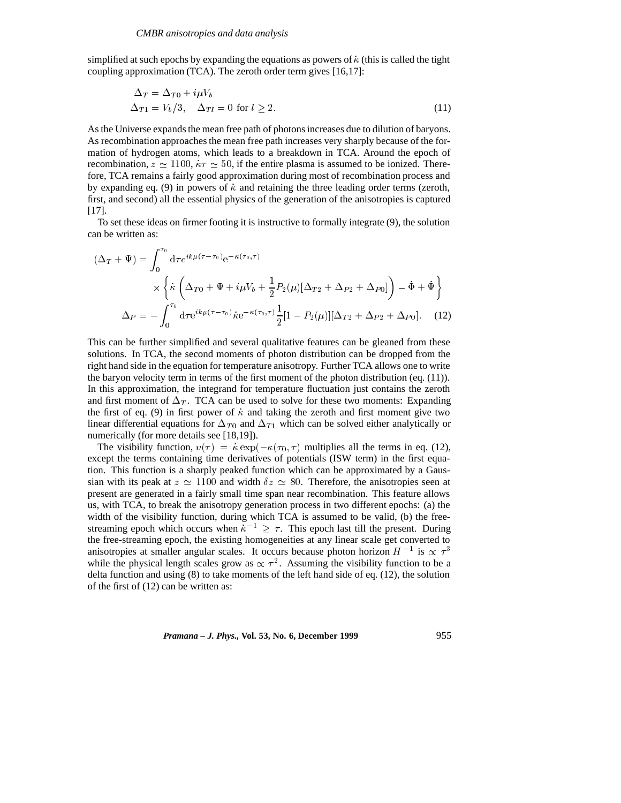simplified at such epochs by expanding the equations as powers of  $\kappa$  (this is called the tight coupling approximation (TCA). The zeroth order term gives [16,17]:

$$
\Delta_T = \Delta_{T0} + i\mu V_b
$$
  
\n
$$
\Delta_{T1} = V_b/3, \quad \Delta_{Tl} = 0 \text{ for } l \ge 2.
$$
\n(11)

As the Universe expands the mean free path of photons increases due to dilution of baryons. As recombination approaches the mean free path increases very sharply because of the formation of hydrogen atoms, which leads to a breakdown in TCA. Around the epoch of recombination,  $z \approx 1100$ ,  $k\tau \approx 50$ , if the entire plasma is assumed to be ionized. Therefore, TCA remains a fairly good approximation during most of recombination process and by expanding eq. (9) in powers of  $\kappa$  and retaining the three leading order terms (zeroth, first, and second) all the essential physics of the generation of the anisotropies is captured [17].

To set these ideas on firmer footing it is instructive to formally integrate (9), the solution can be written as:

$$
(\Delta_T + \Psi) = \int_0^{\tau_0} d\tau e^{ik\mu(\tau - \tau_0)} e^{-\kappa(\tau_0, \tau)}
$$

$$
\times \left\{ \kappa \left( \Delta_{T0} + \Psi + i\mu V_b + \frac{1}{2} P_2(\mu) [\Delta_{T2} + \Delta_{P2} + \Delta_{P0}] \right) - \dot{\Phi} + \dot{\Psi} \right\}
$$

$$
\Delta_P = -\int_0^{\tau_0} d\tau e^{ik\mu(\tau - \tau_0)} \kappa e^{-\kappa(\tau_0, \tau)} \frac{1}{2} [1 - P_2(\mu)] [\Delta_{T2} + \Delta_{P2} + \Delta_{P0}]. \tag{12}
$$

This can be further simplified and several qualitative features can be gleaned from these solutions. In TCA, the second moments of photon distribution can be dropped from the right hand side in the equation for temperature anisotropy. Further TCA allows one to write the baryon velocity term in terms of the first moment of the photon distribution (eq. (11)). In this approximation, the integrand for temperature fluctuation just contains the zeroth and first moment of  $\Delta_T$ . TCA can be used to solve for these two moments: Expanding the first of eq. (9) in first power of  $\dot{\kappa}$  and taking the zeroth and first moment give two linear differential equations for  $\Delta_{T_0}$  and  $\Delta_{T_1}$  which can be solved either analytically or numerically (for more details see [18,19]).

The visibility function,  $v(\tau) = \dot{\kappa} \exp(-\kappa(\tau_0, \tau))$  multiplies all the terms in eq. (12), except the terms containing time derivatives of potentials (ISW term) in the first equation. This function is a sharply peaked function which can be approximated by a Gaussian with its peak at  $z \approx 1100$  and width  $\delta z \approx 80$ . Therefore, the anisotropies seen at present are generated in a fairly small time span near recombination. This feature allows us, with TCA, to break the anisotropy generation process in two different epochs: (a) the width of the visibility function, during which TCA is assumed to be valid, (b) the freestreaming epoch which occurs when  $\kappa^{-1} > \tau$ . This epoch last till the present. During the free-streaming epoch, the existing homogeneities at any linear scale get converted to anisotropies at smaller angular scales. It occurs because photon horizon  $H^{-1}$  is  $\propto \tau^3$ while the physical length scales grow as  $\propto \tau^2$ . Assuming the visibility function to be a delta function and using (8) to take moments of the left hand side of eq. (12), the solution of the first of (12) can be written as: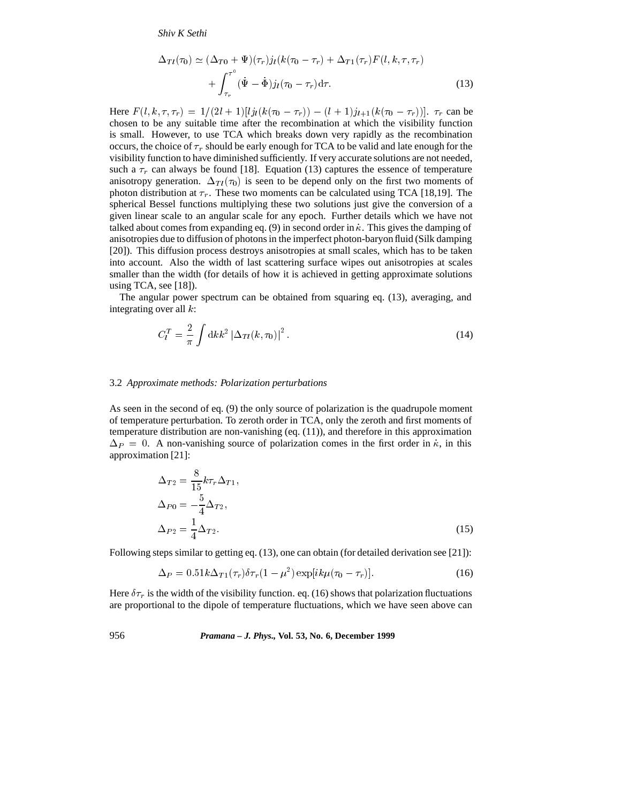*Shiv K Sethi*

$$
\Delta_{Tl}(\tau_0) \simeq (\Delta_{T0} + \Psi)(\tau_r) j_l(k(\tau_0 - \tau_r) + \Delta_{T1}(\tau_r) F(l, k, \tau, \tau_r) + \int_{\tau_r}^{\tau^0} (\dot{\Psi} - \dot{\Phi}) j_l(\tau_0 - \tau_r) d\tau.
$$
\n(13)

Here  $F(l, k, \tau, \tau_r) = 1/(2l + 1)[lj_l(k(\tau_0 - \tau_r)) - (l + 1)j_{l+1}(k(\tau_0 - \tau_r))].$   $\tau_r$  can be chosen to be any suitable time after the recombination at which the visibility function is small. However, to use TCA which breaks down very rapidly as the recombination occurs, the choice of  $\tau_r$  should be early enough for TCA to be valid and late enough for the visibility function to have diminished sufficiently. If very accurate solutions are not needed, such a  $\tau_r$  can always be found [18]. Equation (13) captures the essence of temperature anisotropy generation.  $\Delta_{TI}(\tau_0)$  is seen to be depend only on the first two moments of photon distribution at  $\tau_r$ . These two moments can be calculated using TCA [18,19]. The spherical Bessel functions multiplying these two solutions just give the conversion of a given linear scale to an angular scale for any epoch. Further details which we have not talked about comes from expanding eq. (9) in second order in  $\dot{\kappa}$ . This gives the damping of anisotropies due to diffusion of photons in the imperfect photon-baryon fluid (Silk damping [20]). This diffusion process destroys anisotropies at small scales, which has to be taken into account. Also the width of last scattering surface wipes out anisotropies at scales smaller than the width (for details of how it is achieved in getting approximate solutions using TCA, see  $[18]$ ).

The angular power spectrum can be obtained from squaring eq. (13), averaging, and integrating over all <sup>k</sup>:

$$
C_l^T = \frac{2}{\pi} \int \mathrm{d}k k^2 \, |\Delta_{Tl}(k, \tau_0)|^2 \,. \tag{14}
$$

#### 3.2 *Approximate methods: Polarization perturbations*

As seen in the second of eq. (9) the only source of polarization is the quadrupole moment of temperature perturbation. To zeroth order in TCA, only the zeroth and first moments of temperature distribution are non-vanishing (eq. (11)), and therefore in this approximation  $\Delta_P = 0$ . A non-vanishing source of polarization comes in the first order in  $\dot{\kappa}$ , in this approximation [21]:

$$
\Delta_{T2} = \frac{8}{15} k \tau_r \Delta_{T1},
$$
  
\n
$$
\Delta_{P0} = -\frac{5}{4} \Delta_{T2},
$$
  
\n
$$
\Delta_{P2} = \frac{1}{4} \Delta_{T2}.
$$
\n(15)

Following steps similar to getting eq. (13), one can obtain (for detailed derivation see [21]):

$$
\Delta_P = 0.51k\Delta_{T1}(\tau_r)\delta\tau_r(1-\mu^2)\exp[i k\mu(\tau_0-\tau_r)].\tag{16}
$$

Here  $\delta \tau_r$  is the width of the visibility function. eq. (16) shows that polarization fluctuations are proportional to the dipole of temperature fluctuations, which we have seen above can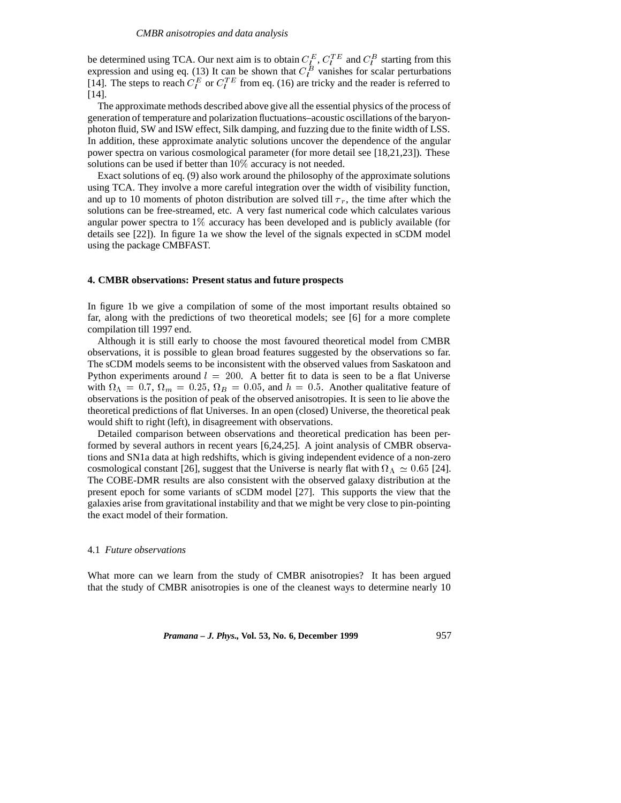be determined using TCA. Our next aim is to obtain  $C_{\xi}^{E}$ ,  $C_{l}^{TE}$  and  $C_{l}^{B}$  starting from this expression and using eq. (13) It can be shown that  $C_l^B$  vanishes for scalar perturbations [14]. The steps to reach  $C_l^E$  or  $C_l^T$  from eq. (16) are tricky and the reader is referred to [14].

The approximate methods described above give all the essential physics of the process of generation of temperature and polarization fluctuations–acoustic oscillations of the baryonphoton fluid, SW and ISW effect, Silk damping, and fuzzing due to the finite width of LSS. In addition, these approximate analytic solutions uncover the dependence of the angular power spectra on various cosmological parameter (for more detail see [18,21,23]). These solutions can be used if better than 10% accuracy is not needed.

Exact solutions of eq. (9) also work around the philosophy of the approximate solutions using TCA. They involve a more careful integration over the width of visibility function, and up to 10 moments of photon distribution are solved till  $\tau_r$ , the time after which the solutions can be free-streamed, etc. A very fast numerical code which calculates various angular power spectra to 1% accuracy has been developed and is publicly available (for details see [22]). In figure 1a we show the level of the signals expected in sCDM model using the package CMBFAST.

#### **4. CMBR observations: Present status and future prospects**

In figure 1b we give a compilation of some of the most important results obtained so far, along with the predictions of two theoretical models; see [6] for a more complete compilation till 1997 end.

Although it is still early to choose the most favoured theoretical model from CMBR observations, it is possible to glean broad features suggested by the observations so far. The sCDM models seems to be inconsistent with the observed values from Saskatoon and Python experiments around  $l = 200$ . A better fit to data is seen to be a flat Universe with  $\Omega_{\Lambda} = 0.7$ ,  $\Omega_m = 0.25$ ,  $\Omega_B = 0.05$ , and  $h = 0.5$ . Another qualitative feature of observations is the position of peak of the observed anisotropies. It is seen to lie above the theoretical predictions of flat Universes. In an open (closed) Universe, the theoretical peak would shift to right (left), in disagreement with observations.

Detailed comparison between observations and theoretical predication has been performed by several authors in recent years [6,24,25]. A joint analysis of CMBR observations and SN1a data at high redshifts, which is giving independent evidence of a non-zero cosmological constant [26], suggest that the Universe is nearly flat with  $\Omega_{\Lambda} \simeq 0.65$  [24]. The COBE-DMR results are also consistent with the observed galaxy distribution at the present epoch for some variants of sCDM model [27]. This supports the view that the galaxies arise from gravitational instability and that we might be very close to pin-pointing the exact model of their formation.

#### 4.1 *Future observations*

What more can we learn from the study of CMBR anisotropies? It has been argued that the study of CMBR anisotropies is one of the cleanest ways to determine nearly 10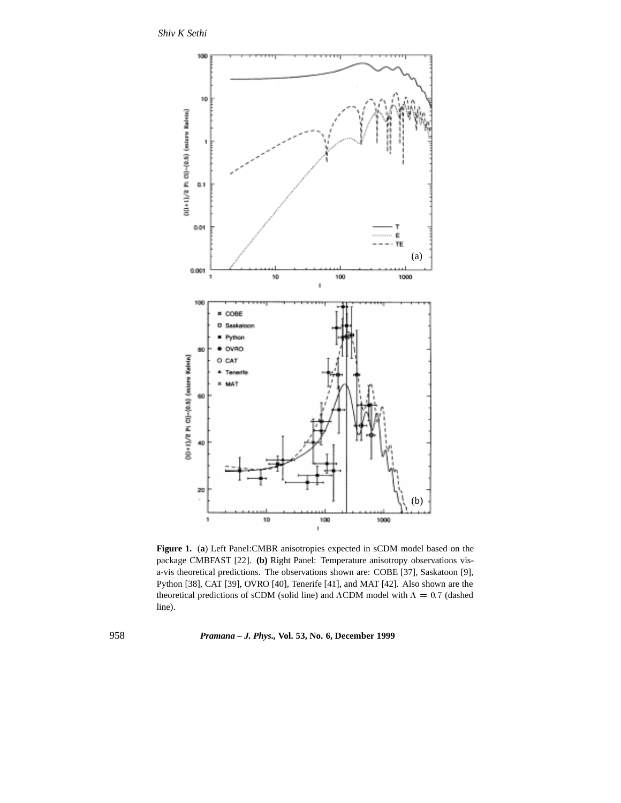*Shiv K Sethi*



**Figure 1.** (**a**) Left Panel:CMBR anisotropies expected in sCDM model based on the package CMBFAST [22]. **(b)** Right Panel: Temperature anisotropy observations visa-vis theoretical predictions. The observations shown are: COBE [37], Saskatoon [9], Python [38], CAT [39], OVRO [40], Tenerife [41], and MAT [42]. Also shown are the theoretical predictions of sCDM (solid line) and  $\Lambda$ CDM model with  $\Lambda = 0.7$  (dashed line).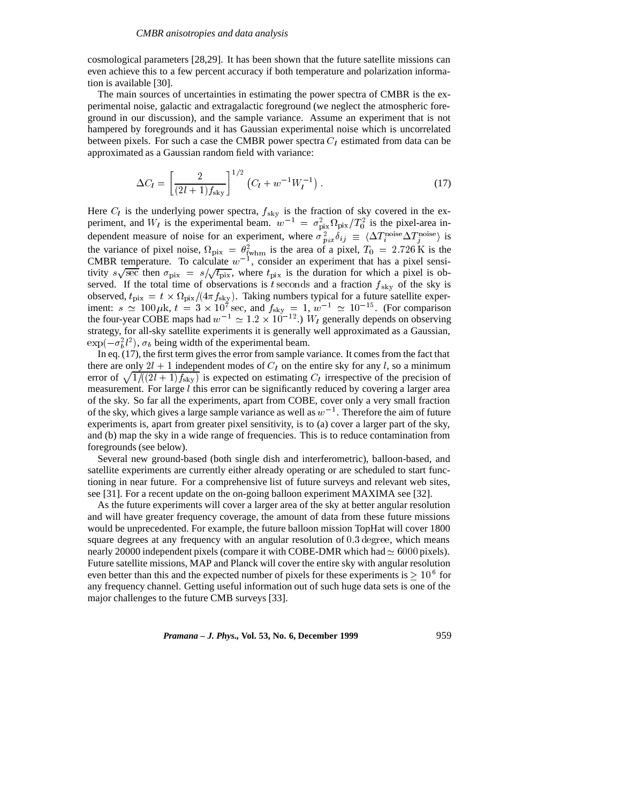cosmological parameters [28,29]. It has been shown that the future satellite missions can even achieve this to a few percent accuracy if both temperature and polarization information is available [30].

The main sources of uncertainties in estimating the power spectra of CMBR is the experimental noise, galactic and extragalactic foreground (we neglect the atmospheric foreground in our discussion), and the sample variance. Assume an experiment that is not hampered by foregrounds and it has Gaussian experimental noise which is uncorrelated between pixels. For such a case the CMBR power spectra  $C_l$  estimated from data can be approximated as a Gaussian random field with variance:

$$
\Delta C_l = \left[\frac{2}{(2l+1)f_{\rm sky}}\right]^{1/2} \left(C_l + w^{-1}W_l^{-1}\right). \tag{17}
$$

Here  $C_l$  is the underlying power spectra,  $f_{\text{sky}}$  is the fraction of sky covered in the experiment, and  $W_l$  is the experimental beam.  $w^{-1} = \sigma_{\text{pix}}^2 \Omega_{\text{pix}}/T_0^2$  is the pixel-area independent measure of noise for an experiment, where  $\sigma_{pix}^2 \delta_{ij} \equiv \langle \Delta T_i^{\text{noise}} \Delta T_j^{\text{noise}} \rangle$  is the variance of pixel noise,  $\Omega_{\text{pix}} = \theta_{\text{fwhm}}^2$  is the area of a pixel,  $T_0 = 2.726 \text{ K}$  is the CMBR temperature. To calculate  $w^{-1}$ , consider an experiment that has a pixel sensitivity  $s\sqrt{\sec}$  then  $\sigma_{\text{pix}} = s/\sqrt{t_{\text{pix}}}$ , where  $t_{\text{pix}}$  is the duration for which a pixel is observed. If the total time of observations is t seconds and a fraction  $f_{\rm sky}$  of the sky is observed,  $t_{\text{pix}} = t \times \Omega_{\text{pix}}/(4\pi f_{\text{sky}})$ . Taking numbers typical for a future satellite experiment:  $s \simeq 100 \,\mu$ k,  $t = 3 \times 10^7$  sec, and  $f_{\text{sky}} = 1$ ,  $w^{-1} \simeq 10^{-15}$ . (For comparison the four-year COBE maps had  $w^{-1} \simeq 1.2 \times 10^{-12}$ .) W<sub>l</sub> generally depends on observing strategy, for all-sky satellite experiments it is generally well approximated as a Gaussian,  $\exp(-\sigma_b^2 l^2)$ ,  $\sigma_b$  being width of the experimental beam.

In eq. (17), the first term gives the error from sample variance. It comes from the fact that there are only  $2l + 1$  independent modes of  $C_l$  on the entire sky for any l, so a minimum error of  $\sqrt{1/(2l + 1)f_{\rm sky}}$  is expected on estimating  $C_l$  irrespective of the precision of measurement. For large  $l$  this error can be significantly reduced by covering a larger area of the sky. So far all the experiments, apart from COBE, cover only a very small fraction of the sky, which gives a large sample variance as well as  $w^{-1}$ . Therefore the aim of future experiments is, apart from greater pixel sensitivity, is to (a) cover a larger part of the sky, and (b) map the sky in a wide range of frequencies. This is to reduce contamination from foregrounds (see below).

Several new ground-based (both single dish and interferometric), balloon-based, and satellite experiments are currently either already operating or are scheduled to start functioning in near future. For a comprehensive list of future surveys and relevant web sites, see [31]. For a recent update on the on-going balloon experiment MAXIMA see [32].

As the future experiments will cover a larger area of the sky at better angular resolution and will have greater frequency coverage, the amount of data from these future missions would be unprecedented. For example, the future balloon mission TopHat will cover 1800 square degrees at any frequency with an angular resolution of  $0.3$  degree, which means nearly 20000 independent pixels (compare it with COBE-DMR which had  $\simeq 6000$  pixels). Future satellite missions, MAP and Planck will cover the entire sky with angular resolution even better than this and the expected number of pixels for these experiments is  $\geq 10^6$  for any frequency channel. Getting useful information out of such huge data sets is one of the major challenges to the future CMB surveys [33].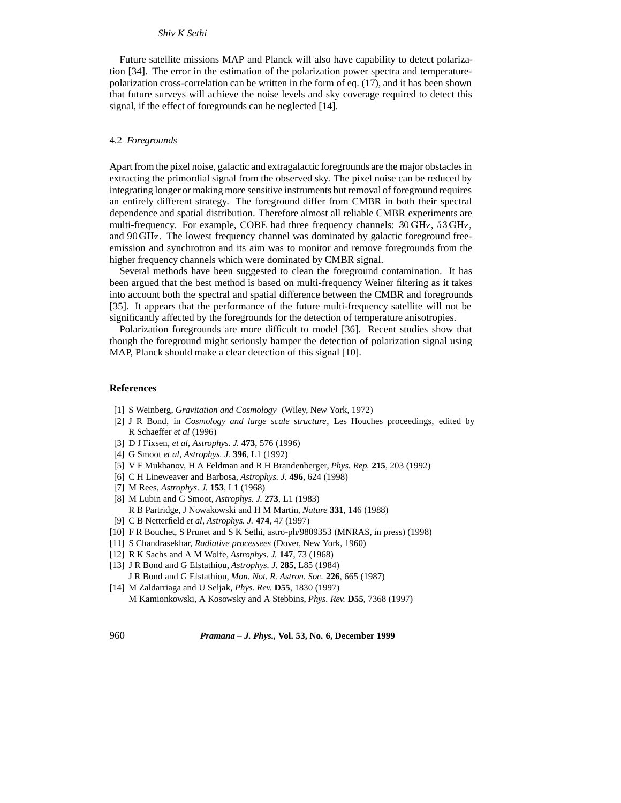## *Shiv K Sethi*

Future satellite missions MAP and Planck will also have capability to detect polarization [34]. The error in the estimation of the polarization power spectra and temperaturepolarization cross-correlation can be written in the form of eq. (17), and it has been shown that future surveys will achieve the noise levels and sky coverage required to detect this signal, if the effect of foregrounds can be neglected [14].

#### 4.2 *Foregrounds*

Apart from the pixel noise, galactic and extragalactic foregrounds are the major obstacles in extracting the primordial signal from the observed sky. The pixel noise can be reduced by integrating longer or making more sensitive instruments but removal of foreground requires an entirely different strategy. The foreground differ from CMBR in both their spectral dependence and spatial distribution. Therefore almost all reliable CMBR experiments are multi-frequency. For example, COBE had three frequency channels: <sup>30</sup> GHz, <sup>53</sup> GHz, and <sup>90</sup> GHz. The lowest frequency channel was dominated by galactic foreground freeemission and synchrotron and its aim was to monitor and remove foregrounds from the higher frequency channels which were dominated by CMBR signal.

Several methods have been suggested to clean the foreground contamination. It has been argued that the best method is based on multi-frequency Weiner filtering as it takes into account both the spectral and spatial difference between the CMBR and foregrounds [35]. It appears that the performance of the future multi-frequency satellite will not be significantly affected by the foregrounds for the detection of temperature anisotropies.

Polarization foregrounds are more difficult to model [36]. Recent studies show that though the foreground might seriously hamper the detection of polarization signal using MAP, Planck should make a clear detection of this signal [10].

## **References**

- [1] S Weinberg, *Gravitation and Cosmology* (Wiley, New York, 1972)
- [2] J R Bond, in *Cosmology and large scale structure*, Les Houches proceedings, edited by R Schaeffer *et al* (1996)
- [3] D J Fixsen, *et al*, *Astrophys. J.* **473**, 576 (1996)
- [4] G Smoot *et al*, *Astrophys. J.* **396**, L1 (1992)
- [5] V F Mukhanov, H A Feldman and R H Brandenberger, *Phys. Rep.* **215**, 203 (1992)
- [6] C H Lineweaver and Barbosa, *Astrophys. J.* **496**, 624 (1998)
- [7] M Rees, *Astrophys. J.* **153**, L1 (1968)
- [8] M Lubin and G Smoot, *Astrophys. J.* **273**, L1 (1983) R B Partridge, J Nowakowski and H M Martin, *Nature* **331**, 146 (1988)
- [9] C B Netterfield *et al*, *Astrophys. J.* **474**, 47 (1997)
- [10] F R Bouchet, S Prunet and S K Sethi, astro-ph/9809353 (MNRAS, in press) (1998)
- [11] S Chandrasekhar, *Radiative processees* (Dover, New York, 1960)
- [12] R K Sachs and A M Wolfe, *Astrophys. J.* **147**, 73 (1968)
- [13] J R Bond and G Efstathiou, *Astrophys. J.* **285**, L85 (1984) J R Bond and G Efstathiou, *Mon. Not. R. Astron. Soc.* **226**, 665 (1987)
- [14] M Zaldarriaga and U Seljak, *Phys. Rev.* **D55**, 1830 (1997) M Kamionkowski, A Kosowsky and A Stebbins, *Phys. Rev.* **D55**, 7368 (1997)